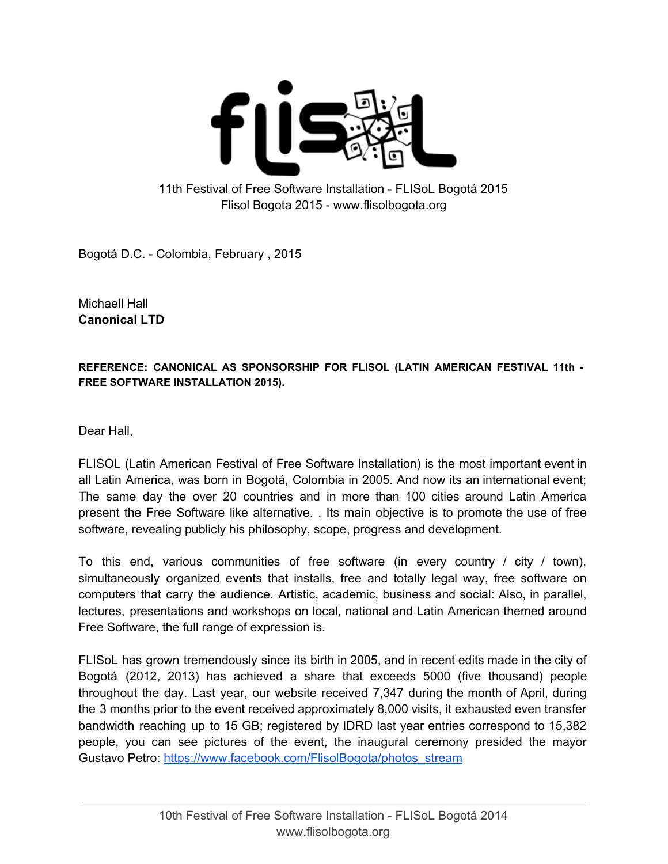

## 11th Festival of Free Software Installation FLISoL Bogotá 2015 Flisol Bogota 2015 www.flisolbogota.org

Bogotá D.C. Colombia, February , 2015

Michaell Hall **Canonical LTD**

**REFERENCE: CANONICAL AS SPONSORSHIP FOR FLISOL (LATIN AMERICAN FESTIVAL 11th FREE SOFTWARE INSTALLATION 2015).**

Dear Hall,

FLISOL (Latin American Festival of Free Software Installation) is the most important event in all Latin America, was born in Bogotá, Colombia in 2005. And now its an international event; The same day the over 20 countries and in more than 100 cities around Latin America present the Free Software like alternative. . Its main objective is to promote the use of free software, revealing publicly his philosophy, scope, progress and development.

To this end, various communities of free software (in every country / city / town), simultaneously organized events that installs, free and totally legal way, free software on computers that carry the audience. Artistic, academic, business and social: Also, in parallel, lectures, presentations and workshops on local, national and Latin American themed around Free Software, the full range of expression is.

FLISoL has grown tremendously since its birth in 2005, and in recent edits made in the city of Bogotá (2012, 2013) has achieved a share that exceeds 5000 (five thousand) people throughout the day. Last year, our website received 7,347 during the month of April, during the 3 months prior to the event received approximately 8,000 visits, it exhausted even transfer bandwidth reaching up to 15 GB; registered by IDRD last year entries correspond to 15,382 people, you can see pictures of the event, the inaugural ceremony presided the mayor Gustavo Petro: [https://www.facebook.com/FlisolBogota/photos\\_stream](https://www.facebook.com/FlisolBogota/photos_stream)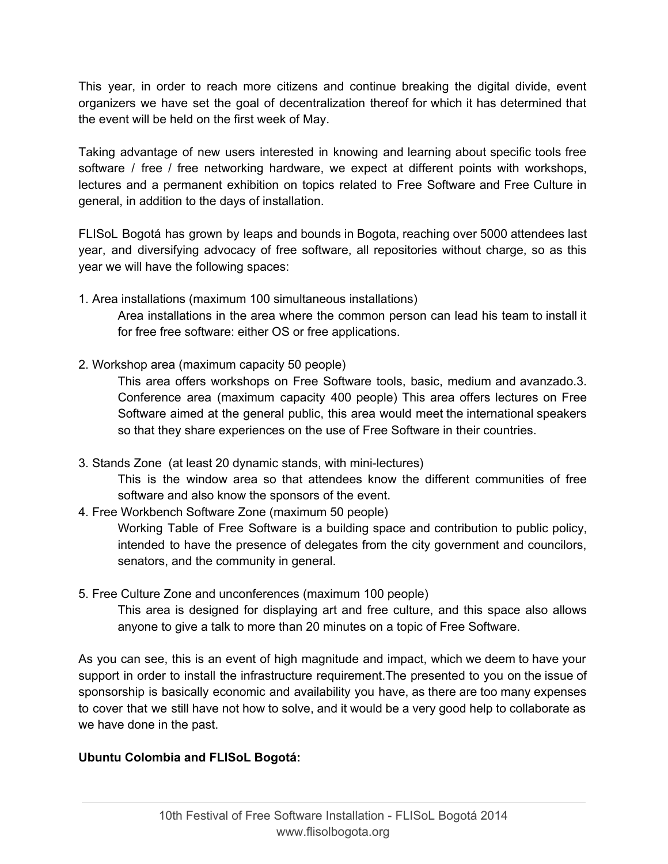This year, in order to reach more citizens and continue breaking the digital divide, event organizers we have set the goal of decentralization thereof for which it has determined that the event will be held on the first week of May.

Taking advantage of new users interested in knowing and learning about specific tools free software / free / free networking hardware, we expect at different points with workshops, lectures and a permanent exhibition on topics related to Free Software and Free Culture in general, in addition to the days of installation.

FLISoL Bogotá has grown by leaps and bounds in Bogota, reaching over 5000 attendees last year, and diversifying advocacy of free software, all repositories without charge, so as this year we will have the following spaces:

1. Area installations (maximum 100 simultaneous installations)

Area installations in the area where the common person can lead his team to install it for free free software: either OS or free applications.

2. Workshop area (maximum capacity 50 people)

This area offers workshops on Free Software tools, basic, medium and avanzado.3. Conference area (maximum capacity 400 people) This area offers lectures on Free Software aimed at the general public, this area would meet the international speakers so that they share experiences on the use of Free Software in their countries.

- 3. Stands Zone (at least 20 dynamic stands, with minilectures) This is the window area so that attendees know the different communities of free software and also know the sponsors of the event.
- 4. Free Workbench Software Zone (maximum 50 people)

Working Table of Free Software is a building space and contribution to public policy, intended to have the presence of delegates from the city government and councilors, senators, and the community in general.

5. Free Culture Zone and unconferences (maximum 100 people)

This area is designed for displaying art and free culture, and this space also allows anyone to give a talk to more than 20 minutes on a topic of Free Software.

As you can see, this is an event of high magnitude and impact, which we deem to have your support in order to install the infrastructure requirement.The presented to you on the issue of sponsorship is basically economic and availability you have, as there are too many expenses to cover that we still have not how to solve, and it would be a very good help to collaborate as we have done in the past.

## **Ubuntu Colombia and FLISoL Bogotá:**